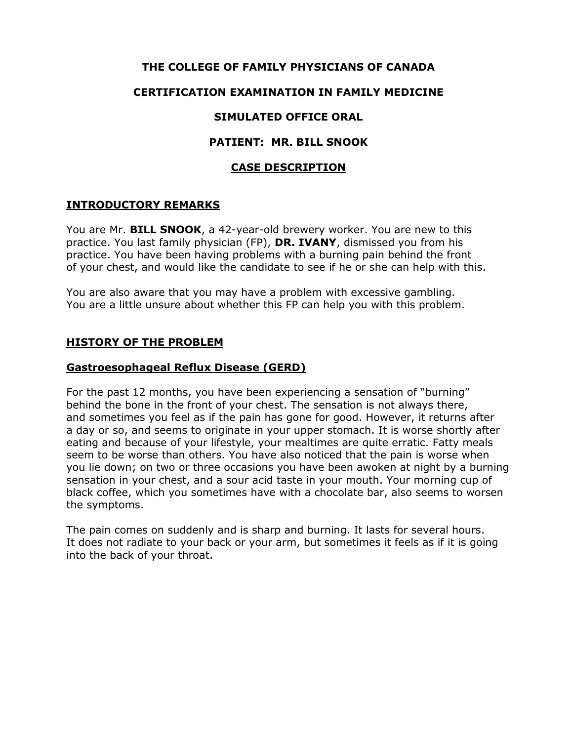## **THE COLLEGE OF FAMILY PHYSICIANS OF CANADA**

## **CERTIFICATION EXAMINATION IN FAMILY MEDICINE**

### **SIMULATED OFFICE ORAL**

#### **PATIENT: MR. BILL SNOOK**

#### **CASE DESCRIPTION**

#### **INTRODUCTORY REMARKS**

You are Mr. **BILL SNOOK**, a 42-year-old brewery worker. You are new to this practice. You last family physician (FP), **DR. IVANY**, dismissed you from his practice. You have been having problems with a burning pain behind the front of your chest, and would like the candidate to see if he or she can help with this.

You are also aware that you may have a problem with excessive gambling. You are a little unsure about whether this FP can help you with this problem.

#### **HISTORY OF THE PROBLEM**

#### **Gastroesophageal Reflux Disease (GERD)**

For the past 12 months, you have been experiencing a sensation of "burning" behind the bone in the front of your chest. The sensation is not always there, and sometimes you feel as if the pain has gone for good. However, it returns after a day or so, and seems to originate in your upper stomach. It is worse shortly after eating and because of your lifestyle, your mealtimes are quite erratic. Fatty meals seem to be worse than others. You have also noticed that the pain is worse when you lie down; on two or three occasions you have been awoken at night by a burning sensation in your chest, and a sour acid taste in your mouth. Your morning cup of black coffee, which you sometimes have with a chocolate bar, also seems to worsen the symptoms.

The pain comes on suddenly and is sharp and burning. It lasts for several hours. It does not radiate to your back or your arm, but sometimes it feels as if it is going into the back of your throat.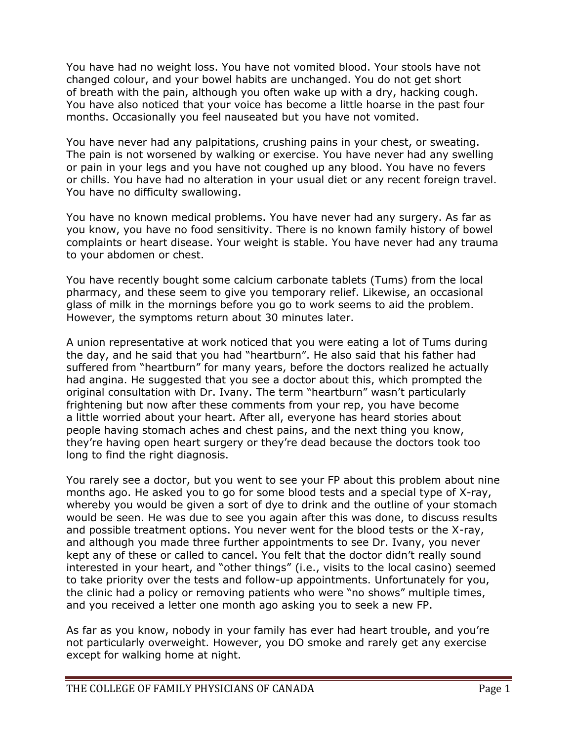You have had no weight loss. You have not vomited blood. Your stools have not changed colour, and your bowel habits are unchanged. You do not get short of breath with the pain, although you often wake up with a dry, hacking cough. You have also noticed that your voice has become a little hoarse in the past four months. Occasionally you feel nauseated but you have not vomited.

You have never had any palpitations, crushing pains in your chest, or sweating. The pain is not worsened by walking or exercise. You have never had any swelling or pain in your legs and you have not coughed up any blood. You have no fevers or chills. You have had no alteration in your usual diet or any recent foreign travel. You have no difficulty swallowing.

You have no known medical problems. You have never had any surgery. As far as you know, you have no food sensitivity. There is no known family history of bowel complaints or heart disease. Your weight is stable. You have never had any trauma to your abdomen or chest.

You have recently bought some calcium carbonate tablets (Tums) from the local pharmacy, and these seem to give you temporary relief. Likewise, an occasional glass of milk in the mornings before you go to work seems to aid the problem. However, the symptoms return about 30 minutes later.

A union representative at work noticed that you were eating a lot of Tums during the day, and he said that you had "heartburn". He also said that his father had suffered from "heartburn" for many years, before the doctors realized he actually had angina. He suggested that you see a doctor about this, which prompted the original consultation with Dr. Ivany. The term "heartburn" wasn't particularly frightening but now after these comments from your rep, you have become a little worried about your heart. After all, everyone has heard stories about people having stomach aches and chest pains, and the next thing you know, they're having open heart surgery or they're dead because the doctors took too long to find the right diagnosis.

You rarely see a doctor, but you went to see your FP about this problem about nine months ago. He asked you to go for some blood tests and a special type of X-ray, whereby you would be given a sort of dye to drink and the outline of your stomach would be seen. He was due to see you again after this was done, to discuss results and possible treatment options. You never went for the blood tests or the X-ray, and although you made three further appointments to see Dr. Ivany, you never kept any of these or called to cancel. You felt that the doctor didn't really sound interested in your heart, and "other things" (i.e., visits to the local casino) seemed to take priority over the tests and follow-up appointments. Unfortunately for you, the clinic had a policy or removing patients who were "no shows" multiple times, and you received a letter one month ago asking you to seek a new FP.

As far as you know, nobody in your family has ever had heart trouble, and you're not particularly overweight. However, you DO smoke and rarely get any exercise except for walking home at night.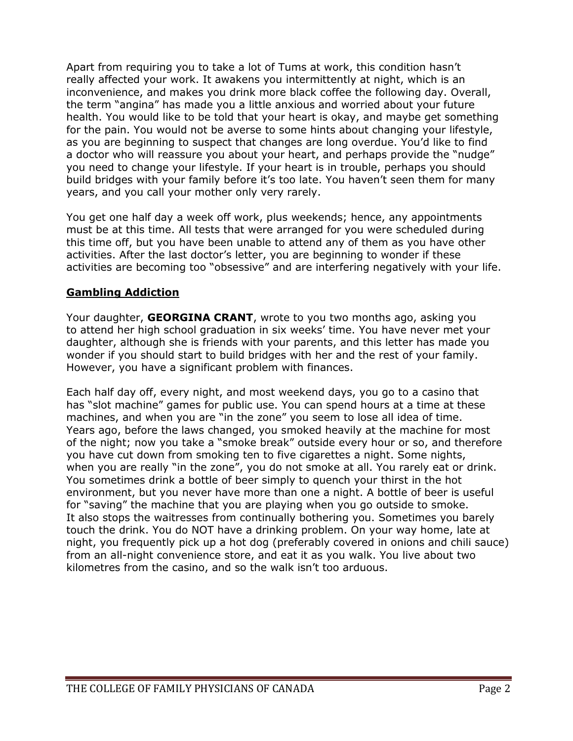Apart from requiring you to take a lot of Tums at work, this condition hasn't really affected your work. It awakens you intermittently at night, which is an inconvenience, and makes you drink more black coffee the following day. Overall, the term "angina" has made you a little anxious and worried about your future health. You would like to be told that your heart is okay, and maybe get something for the pain. You would not be averse to some hints about changing your lifestyle, as you are beginning to suspect that changes are long overdue. You'd like to find a doctor who will reassure you about your heart, and perhaps provide the "nudge" you need to change your lifestyle. If your heart is in trouble, perhaps you should build bridges with your family before it's too late. You haven't seen them for many years, and you call your mother only very rarely.

You get one half day a week off work, plus weekends; hence, any appointments must be at this time. All tests that were arranged for you were scheduled during this time off, but you have been unable to attend any of them as you have other activities. After the last doctor's letter, you are beginning to wonder if these activities are becoming too "obsessive" and are interfering negatively with your life.

# **Gambling Addiction**

Your daughter, **GEORGINA CRANT**, wrote to you two months ago, asking you to attend her high school graduation in six weeks' time. You have never met your daughter, although she is friends with your parents, and this letter has made you wonder if you should start to build bridges with her and the rest of your family. However, you have a significant problem with finances.

Each half day off, every night, and most weekend days, you go to a casino that has "slot machine" games for public use. You can spend hours at a time at these machines, and when you are "in the zone" you seem to lose all idea of time. Years ago, before the laws changed, you smoked heavily at the machine for most of the night; now you take a "smoke break" outside every hour or so, and therefore you have cut down from smoking ten to five cigarettes a night. Some nights, when you are really "in the zone", you do not smoke at all. You rarely eat or drink. You sometimes drink a bottle of beer simply to quench your thirst in the hot environment, but you never have more than one a night. A bottle of beer is useful for "saving" the machine that you are playing when you go outside to smoke. It also stops the waitresses from continually bothering you. Sometimes you barely touch the drink. You do NOT have a drinking problem. On your way home, late at night, you frequently pick up a hot dog (preferably covered in onions and chili sauce) from an all-night convenience store, and eat it as you walk. You live about two kilometres from the casino, and so the walk isn't too arduous.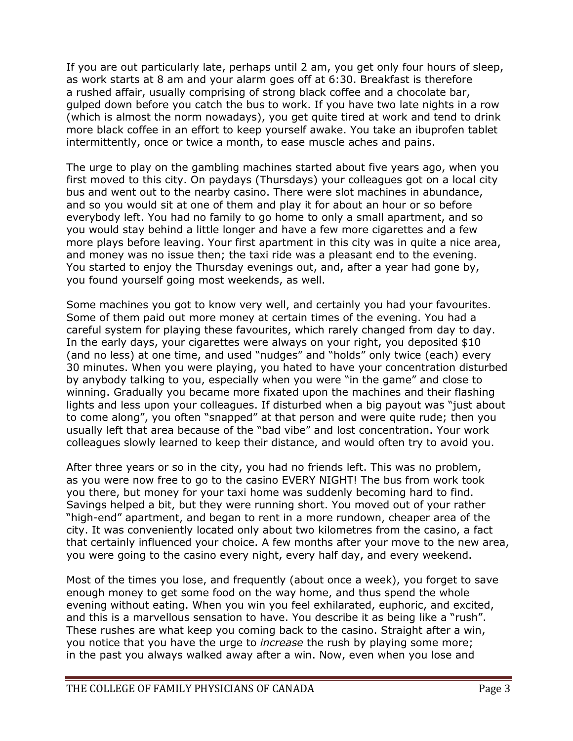If you are out particularly late, perhaps until 2 am, you get only four hours of sleep, as work starts at 8 am and your alarm goes off at 6:30. Breakfast is therefore a rushed affair, usually comprising of strong black coffee and a chocolate bar, gulped down before you catch the bus to work. If you have two late nights in a row (which is almost the norm nowadays), you get quite tired at work and tend to drink more black coffee in an effort to keep yourself awake. You take an ibuprofen tablet intermittently, once or twice a month, to ease muscle aches and pains.

The urge to play on the gambling machines started about five years ago, when you first moved to this city. On paydays (Thursdays) your colleagues got on a local city bus and went out to the nearby casino. There were slot machines in abundance, and so you would sit at one of them and play it for about an hour or so before everybody left. You had no family to go home to only a small apartment, and so you would stay behind a little longer and have a few more cigarettes and a few more plays before leaving. Your first apartment in this city was in quite a nice area, and money was no issue then; the taxi ride was a pleasant end to the evening. You started to enjoy the Thursday evenings out, and, after a year had gone by, you found yourself going most weekends, as well.

Some machines you got to know very well, and certainly you had your favourites. Some of them paid out more money at certain times of the evening. You had a careful system for playing these favourites, which rarely changed from day to day. In the early days, your cigarettes were always on your right, you deposited \$10 (and no less) at one time, and used "nudges" and "holds" only twice (each) every 30 minutes. When you were playing, you hated to have your concentration disturbed by anybody talking to you, especially when you were "in the game" and close to winning. Gradually you became more fixated upon the machines and their flashing lights and less upon your colleagues. If disturbed when a big payout was "just about to come along", you often "snapped" at that person and were quite rude; then you usually left that area because of the "bad vibe" and lost concentration. Your work colleagues slowly learned to keep their distance, and would often try to avoid you.

After three years or so in the city, you had no friends left. This was no problem, as you were now free to go to the casino EVERY NIGHT! The bus from work took you there, but money for your taxi home was suddenly becoming hard to find. Savings helped a bit, but they were running short. You moved out of your rather "high-end" apartment, and began to rent in a more rundown, cheaper area of the city. It was conveniently located only about two kilometres from the casino, a fact that certainly influenced your choice. A few months after your move to the new area, you were going to the casino every night, every half day, and every weekend.

Most of the times you lose, and frequently (about once a week), you forget to save enough money to get some food on the way home, and thus spend the whole evening without eating. When you win you feel exhilarated, euphoric, and excited, and this is a marvellous sensation to have. You describe it as being like a "rush". These rushes are what keep you coming back to the casino. Straight after a win, you notice that you have the urge to *increase* the rush by playing some more; in the past you always walked away after a win. Now, even when you lose and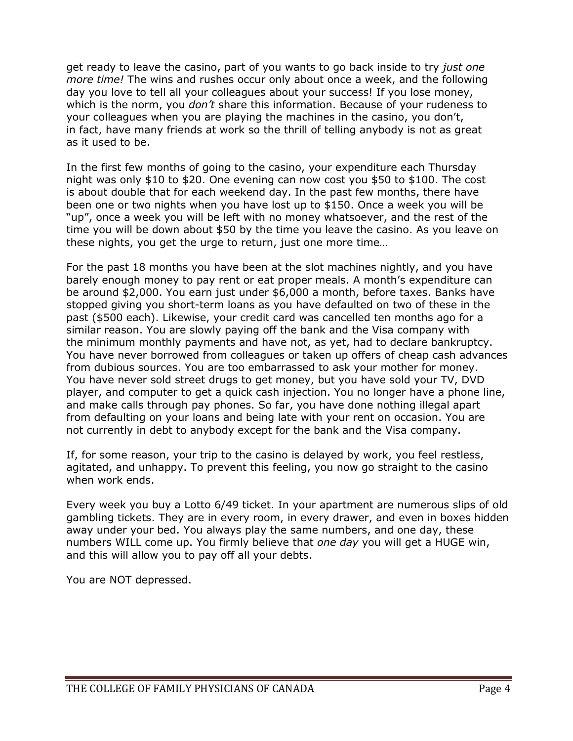get ready to leave the casino, part of you wants to go back inside to try *just one more time!* The wins and rushes occur only about once a week, and the following day you love to tell all your colleagues about your success! If you lose money, which is the norm, you *don't* share this information. Because of your rudeness to your colleagues when you are playing the machines in the casino, you don't, in fact, have many friends at work so the thrill of telling anybody is not as great as it used to be.

In the first few months of going to the casino, your expenditure each Thursday night was only \$10 to \$20. One evening can now cost you \$50 to \$100. The cost is about double that for each weekend day. In the past few months, there have been one or two nights when you have lost up to \$150. Once a week you will be "up", once a week you will be left with no money whatsoever, and the rest of the time you will be down about \$50 by the time you leave the casino. As you leave on these nights, you get the urge to return, just one more time…

For the past 18 months you have been at the slot machines nightly, and you have barely enough money to pay rent or eat proper meals. A month's expenditure can be around \$2,000. You earn just under \$6,000 a month, before taxes. Banks have stopped giving you short-term loans as you have defaulted on two of these in the past (\$500 each). Likewise, your credit card was cancelled ten months ago for a similar reason. You are slowly paying off the bank and the Visa company with the minimum monthly payments and have not, as yet, had to declare bankruptcy. You have never borrowed from colleagues or taken up offers of cheap cash advances from dubious sources. You are too embarrassed to ask your mother for money. You have never sold street drugs to get money, but you have sold your TV, DVD player, and computer to get a quick cash injection. You no longer have a phone line, and make calls through pay phones. So far, you have done nothing illegal apart from defaulting on your loans and being late with your rent on occasion. You are not currently in debt to anybody except for the bank and the Visa company.

If, for some reason, your trip to the casino is delayed by work, you feel restless, agitated, and unhappy. To prevent this feeling, you now go straight to the casino when work ends.

Every week you buy a Lotto 6/49 ticket. In your apartment are numerous slips of old gambling tickets. They are in every room, in every drawer, and even in boxes hidden away under your bed. You always play the same numbers, and one day, these numbers WILL come up. You firmly believe that *one day* you will get a HUGE win, and this will allow you to pay off all your debts.

You are NOT depressed.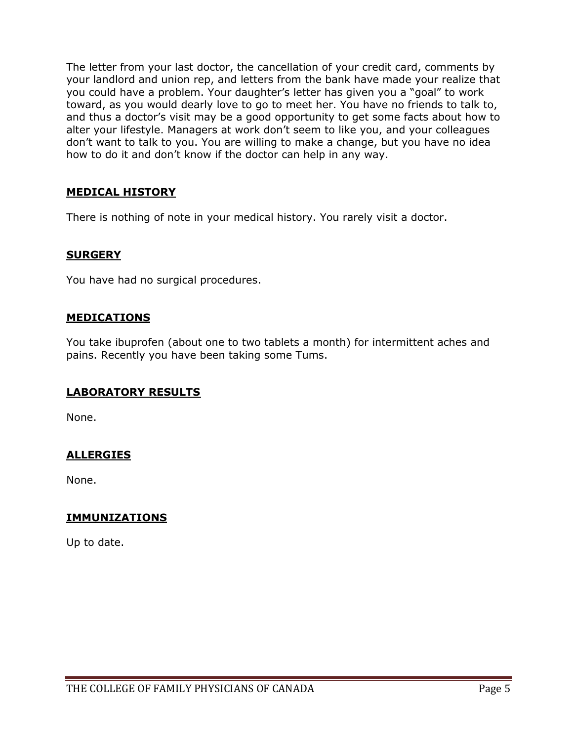The letter from your last doctor, the cancellation of your credit card, comments by your landlord and union rep, and letters from the bank have made your realize that you could have a problem. Your daughter's letter has given you a "goal" to work toward, as you would dearly love to go to meet her. You have no friends to talk to, and thus a doctor's visit may be a good opportunity to get some facts about how to alter your lifestyle. Managers at work don't seem to like you, and your colleagues don't want to talk to you. You are willing to make a change, but you have no idea how to do it and don't know if the doctor can help in any way.

# **MEDICAL HISTORY**

There is nothing of note in your medical history. You rarely visit a doctor.

## **SURGERY**

You have had no surgical procedures.

## **MEDICATIONS**

You take ibuprofen (about one to two tablets a month) for intermittent aches and pains. Recently you have been taking some Tums.

### **LABORATORY RESULTS**

None.

# **ALLERGIES**

None.

### **IMMUNIZATIONS**

Up to date.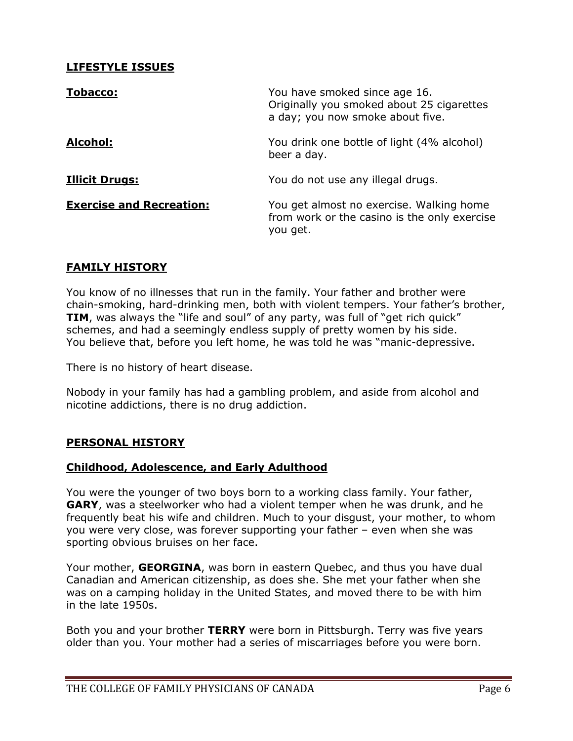# **LIFESTYLE ISSUES**

| <b>Tobacco:</b>                 | You have smoked since age 16.<br>Originally you smoked about 25 cigarettes<br>a day; you now smoke about five. |
|---------------------------------|----------------------------------------------------------------------------------------------------------------|
| Alcohol:                        | You drink one bottle of light (4% alcohol)<br>beer a day.                                                      |
| <b>Illicit Drugs:</b>           | You do not use any illegal drugs.                                                                              |
| <b>Exercise and Recreation:</b> | You get almost no exercise. Walking home<br>from work or the casino is the only exercise<br>you get.           |

## **FAMILY HISTORY**

You know of no illnesses that run in the family. Your father and brother were chain-smoking, hard-drinking men, both with violent tempers. Your father's brother, **TIM**, was always the "life and soul" of any party, was full of "get rich quick" schemes, and had a seemingly endless supply of pretty women by his side. You believe that, before you left home, he was told he was "manic-depressive.

There is no history of heart disease.

Nobody in your family has had a gambling problem, and aside from alcohol and nicotine addictions, there is no drug addiction.

### **PERSONAL HISTORY**

### **Childhood, Adolescence, and Early Adulthood**

You were the younger of two boys born to a working class family. Your father, **GARY**, was a steelworker who had a violent temper when he was drunk, and he frequently beat his wife and children. Much to your disgust, your mother, to whom you were very close, was forever supporting your father – even when she was sporting obvious bruises on her face.

Your mother, **GEORGINA**, was born in eastern Quebec, and thus you have dual Canadian and American citizenship, as does she. She met your father when she was on a camping holiday in the United States, and moved there to be with him in the late 1950s.

Both you and your brother **TERRY** were born in Pittsburgh. Terry was five years older than you. Your mother had a series of miscarriages before you were born.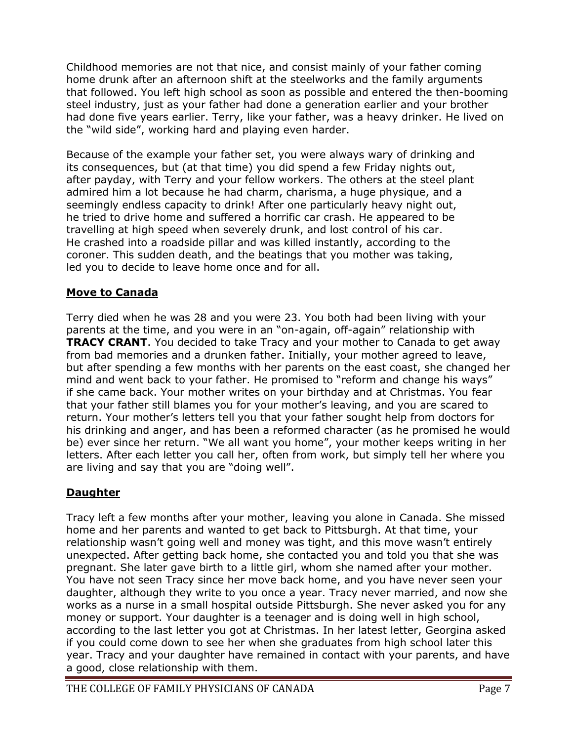Childhood memories are not that nice, and consist mainly of your father coming home drunk after an afternoon shift at the steelworks and the family arguments that followed. You left high school as soon as possible and entered the then-booming steel industry, just as your father had done a generation earlier and your brother had done five years earlier. Terry, like your father, was a heavy drinker. He lived on the "wild side", working hard and playing even harder.

Because of the example your father set, you were always wary of drinking and its consequences, but (at that time) you did spend a few Friday nights out, after payday, with Terry and your fellow workers. The others at the steel plant admired him a lot because he had charm, charisma, a huge physique, and a seemingly endless capacity to drink! After one particularly heavy night out, he tried to drive home and suffered a horrific car crash. He appeared to be travelling at high speed when severely drunk, and lost control of his car. He crashed into a roadside pillar and was killed instantly, according to the coroner. This sudden death, and the beatings that you mother was taking, led you to decide to leave home once and for all.

# **Move to Canada**

Terry died when he was 28 and you were 23. You both had been living with your parents at the time, and you were in an "on-again, off-again" relationship with **TRACY CRANT.** You decided to take Tracy and your mother to Canada to get away from bad memories and a drunken father. Initially, your mother agreed to leave, but after spending a few months with her parents on the east coast, she changed her mind and went back to your father. He promised to "reform and change his ways" if she came back. Your mother writes on your birthday and at Christmas. You fear that your father still blames you for your mother's leaving, and you are scared to return. Your mother's letters tell you that your father sought help from doctors for his drinking and anger, and has been a reformed character (as he promised he would be) ever since her return. "We all want you home", your mother keeps writing in her letters. After each letter you call her, often from work, but simply tell her where you are living and say that you are "doing well".

# **Daughter**

Tracy left a few months after your mother, leaving you alone in Canada. She missed home and her parents and wanted to get back to Pittsburgh. At that time, your relationship wasn't going well and money was tight, and this move wasn't entirely unexpected. After getting back home, she contacted you and told you that she was pregnant. She later gave birth to a little girl, whom she named after your mother. You have not seen Tracy since her move back home, and you have never seen your daughter, although they write to you once a year. Tracy never married, and now she works as a nurse in a small hospital outside Pittsburgh. She never asked you for any money or support. Your daughter is a teenager and is doing well in high school, according to the last letter you got at Christmas. In her latest letter, Georgina asked if you could come down to see her when she graduates from high school later this year. Tracy and your daughter have remained in contact with your parents, and have a good, close relationship with them.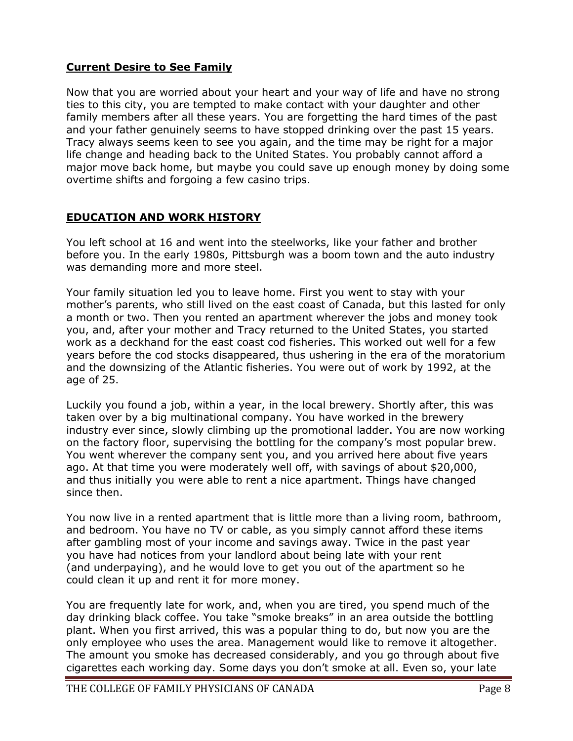# **Current Desire to See Family**

Now that you are worried about your heart and your way of life and have no strong ties to this city, you are tempted to make contact with your daughter and other family members after all these years. You are forgetting the hard times of the past and your father genuinely seems to have stopped drinking over the past 15 years. Tracy always seems keen to see you again, and the time may be right for a major life change and heading back to the United States. You probably cannot afford a major move back home, but maybe you could save up enough money by doing some overtime shifts and forgoing a few casino trips.

## **EDUCATION AND WORK HISTORY**

You left school at 16 and went into the steelworks, like your father and brother before you. In the early 1980s, Pittsburgh was a boom town and the auto industry was demanding more and more steel.

Your family situation led you to leave home. First you went to stay with your mother's parents, who still lived on the east coast of Canada, but this lasted for only a month or two. Then you rented an apartment wherever the jobs and money took you, and, after your mother and Tracy returned to the United States, you started work as a deckhand for the east coast cod fisheries. This worked out well for a few years before the cod stocks disappeared, thus ushering in the era of the moratorium and the downsizing of the Atlantic fisheries. You were out of work by 1992, at the age of 25.

Luckily you found a job, within a year, in the local brewery. Shortly after, this was taken over by a big multinational company. You have worked in the brewery industry ever since, slowly climbing up the promotional ladder. You are now working on the factory floor, supervising the bottling for the company's most popular brew. You went wherever the company sent you, and you arrived here about five years ago. At that time you were moderately well off, with savings of about \$20,000, and thus initially you were able to rent a nice apartment. Things have changed since then.

You now live in a rented apartment that is little more than a living room, bathroom, and bedroom. You have no TV or cable, as you simply cannot afford these items after gambling most of your income and savings away. Twice in the past year you have had notices from your landlord about being late with your rent (and underpaying), and he would love to get you out of the apartment so he could clean it up and rent it for more money.

You are frequently late for work, and, when you are tired, you spend much of the day drinking black coffee. You take "smoke breaks" in an area outside the bottling plant. When you first arrived, this was a popular thing to do, but now you are the only employee who uses the area. Management would like to remove it altogether. The amount you smoke has decreased considerably, and you go through about five cigarettes each working day. Some days you don't smoke at all. Even so, your late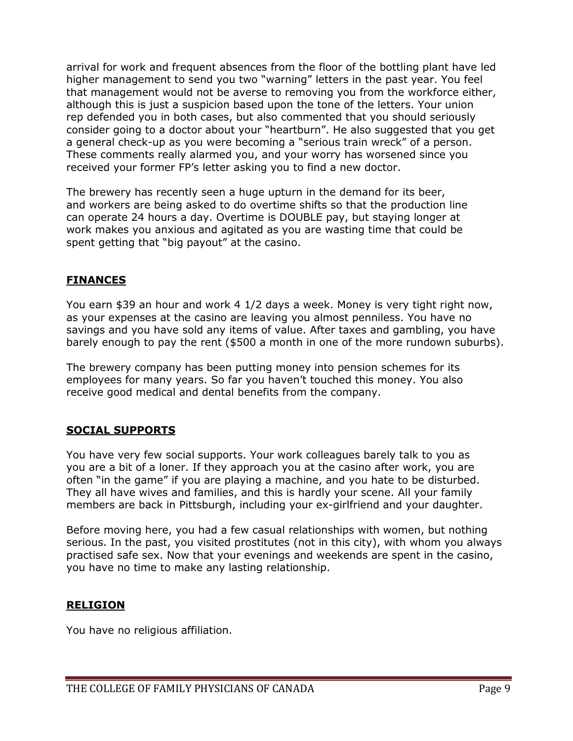arrival for work and frequent absences from the floor of the bottling plant have led higher management to send you two "warning" letters in the past year. You feel that management would not be averse to removing you from the workforce either, although this is just a suspicion based upon the tone of the letters. Your union rep defended you in both cases, but also commented that you should seriously consider going to a doctor about your "heartburn". He also suggested that you get a general check-up as you were becoming a "serious train wreck" of a person. These comments really alarmed you, and your worry has worsened since you received your former FP's letter asking you to find a new doctor.

The brewery has recently seen a huge upturn in the demand for its beer, and workers are being asked to do overtime shifts so that the production line can operate 24 hours a day. Overtime is DOUBLE pay, but staying longer at work makes you anxious and agitated as you are wasting time that could be spent getting that "big payout" at the casino.

# **FINANCES**

You earn \$39 an hour and work 4 1/2 days a week. Money is very tight right now, as your expenses at the casino are leaving you almost penniless. You have no savings and you have sold any items of value. After taxes and gambling, you have barely enough to pay the rent (\$500 a month in one of the more rundown suburbs).

The brewery company has been putting money into pension schemes for its employees for many years. So far you haven't touched this money. You also receive good medical and dental benefits from the company.

# **SOCIAL SUPPORTS**

You have very few social supports. Your work colleagues barely talk to you as you are a bit of a loner. If they approach you at the casino after work, you are often "in the game" if you are playing a machine, and you hate to be disturbed. They all have wives and families, and this is hardly your scene. All your family members are back in Pittsburgh, including your ex-girlfriend and your daughter.

Before moving here, you had a few casual relationships with women, but nothing serious. In the past, you visited prostitutes (not in this city), with whom you always practised safe sex. Now that your evenings and weekends are spent in the casino, you have no time to make any lasting relationship.

# **RELIGION**

You have no religious affiliation.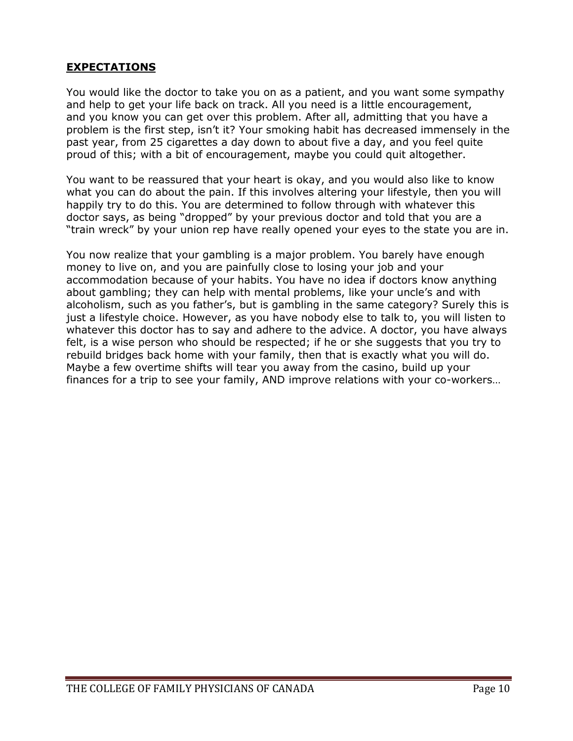# **EXPECTATIONS**

You would like the doctor to take you on as a patient, and you want some sympathy and help to get your life back on track. All you need is a little encouragement, and you know you can get over this problem. After all, admitting that you have a problem is the first step, isn't it? Your smoking habit has decreased immensely in the past year, from 25 cigarettes a day down to about five a day, and you feel quite proud of this; with a bit of encouragement, maybe you could quit altogether.

You want to be reassured that your heart is okay, and you would also like to know what you can do about the pain. If this involves altering your lifestyle, then you will happily try to do this. You are determined to follow through with whatever this doctor says, as being "dropped" by your previous doctor and told that you are a "train wreck" by your union rep have really opened your eyes to the state you are in.

You now realize that your gambling is a major problem. You barely have enough money to live on, and you are painfully close to losing your job and your accommodation because of your habits. You have no idea if doctors know anything about gambling; they can help with mental problems, like your uncle's and with alcoholism, such as you father's, but is gambling in the same category? Surely this is just a lifestyle choice. However, as you have nobody else to talk to, you will listen to whatever this doctor has to say and adhere to the advice. A doctor, you have always felt, is a wise person who should be respected; if he or she suggests that you try to rebuild bridges back home with your family, then that is exactly what you will do. Maybe a few overtime shifts will tear you away from the casino, build up your finances for a trip to see your family, AND improve relations with your co-workers…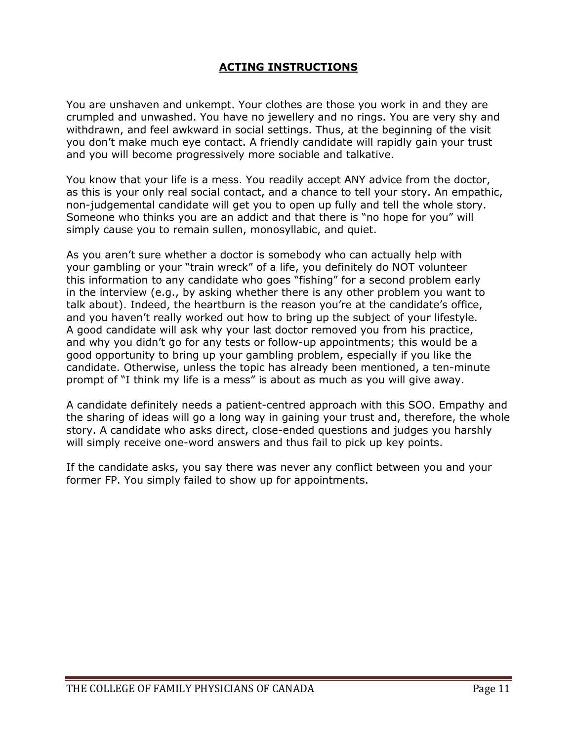## **ACTING INSTRUCTIONS**

You are unshaven and unkempt. Your clothes are those you work in and they are crumpled and unwashed. You have no jewellery and no rings. You are very shy and withdrawn, and feel awkward in social settings. Thus, at the beginning of the visit you don't make much eye contact. A friendly candidate will rapidly gain your trust and you will become progressively more sociable and talkative.

You know that your life is a mess. You readily accept ANY advice from the doctor, as this is your only real social contact, and a chance to tell your story. An empathic, non-judgemental candidate will get you to open up fully and tell the whole story. Someone who thinks you are an addict and that there is "no hope for you" will simply cause you to remain sullen, monosyllabic, and quiet.

As you aren't sure whether a doctor is somebody who can actually help with your gambling or your "train wreck" of a life, you definitely do NOT volunteer this information to any candidate who goes "fishing" for a second problem early in the interview (e.g., by asking whether there is any other problem you want to talk about). Indeed, the heartburn is the reason you're at the candidate's office, and you haven't really worked out how to bring up the subject of your lifestyle. A good candidate will ask why your last doctor removed you from his practice, and why you didn't go for any tests or follow-up appointments; this would be a good opportunity to bring up your gambling problem, especially if you like the candidate. Otherwise, unless the topic has already been mentioned, a ten-minute prompt of "I think my life is a mess" is about as much as you will give away.

A candidate definitely needs a patient-centred approach with this SOO. Empathy and the sharing of ideas will go a long way in gaining your trust and, therefore, the whole story. A candidate who asks direct, close-ended questions and judges you harshly will simply receive one-word answers and thus fail to pick up key points.

If the candidate asks, you say there was never any conflict between you and your former FP. You simply failed to show up for appointments.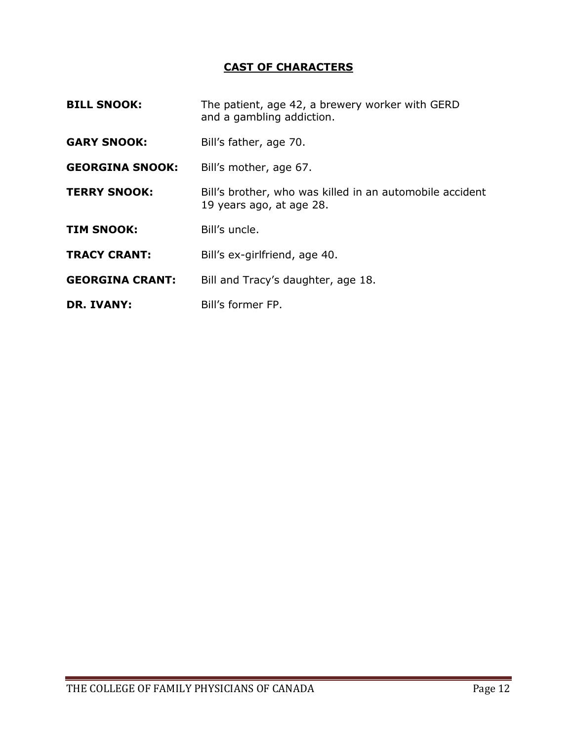# **CAST OF CHARACTERS**

| <b>BILL SNOOK:</b>     | The patient, age 42, a brewery worker with GERD<br>and a gambling addiction.         |  |
|------------------------|--------------------------------------------------------------------------------------|--|
| <b>GARY SNOOK:</b>     | Bill's father, age 70.                                                               |  |
| <b>GEORGINA SNOOK:</b> | Bill's mother, age 67.                                                               |  |
| <b>TERRY SNOOK:</b>    | Bill's brother, who was killed in an automobile accident<br>19 years ago, at age 28. |  |
| <b>TIM SNOOK:</b>      | Bill's uncle.                                                                        |  |
| <b>TRACY CRANT:</b>    | Bill's ex-girlfriend, age 40.                                                        |  |
| <b>GEORGINA CRANT:</b> | Bill and Tracy's daughter, age 18.                                                   |  |
| <b>DR. IVANY:</b>      | Bill's former FP.                                                                    |  |